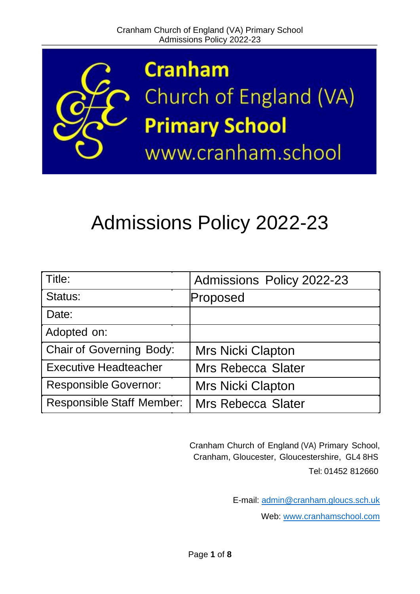

# Admissions Policy 2022-23

| Title:                           | Admissions Policy 2022-23 |
|----------------------------------|---------------------------|
| Status:                          | Proposed                  |
| Date:                            |                           |
| Adopted on:                      |                           |
| <b>Chair of Governing Body:</b>  | <b>Mrs Nicki Clapton</b>  |
| <b>Executive Headteacher</b>     | <b>Mrs Rebecca Slater</b> |
| <b>Responsible Governor:</b>     | <b>Mrs Nicki Clapton</b>  |
| <b>Responsible Staff Member:</b> | <b>Mrs Rebecca Slater</b> |

Cranham Church of England (VA) Primary School, Cranham, Gloucester, Gloucestershire, GL4 8HS Tel: 01452 812660

E-mail: [admin@cranham.gloucs.sch.uk](mailto:admin@cranham.gloucs.sch.uk)

Web: [www.cranhamschool.com](http://www.cranhamschool.com/)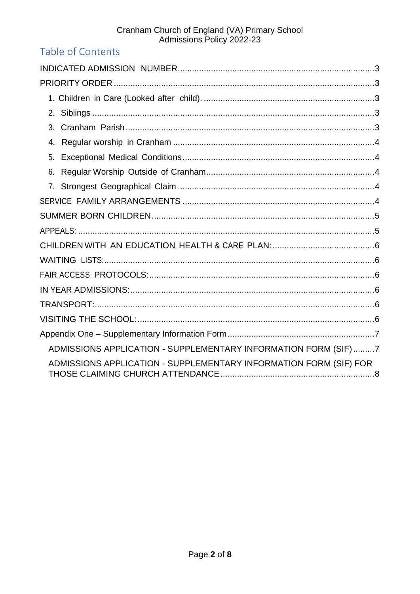# Cranham Church of England (VA) Primary School<br>Admissions Policy 2022-23

# Table of Contents

| 2.                                                                |
|-------------------------------------------------------------------|
| 3.                                                                |
| 4.                                                                |
| 5.                                                                |
| 6.                                                                |
|                                                                   |
|                                                                   |
|                                                                   |
|                                                                   |
|                                                                   |
|                                                                   |
|                                                                   |
|                                                                   |
|                                                                   |
|                                                                   |
|                                                                   |
| ADMISSIONS APPLICATION - SUPPLEMENTARY INFORMATION FORM (SIF)7    |
| ADMISSIONS APPLICATION - SUPPLEMENTARY INFORMATION FORM (SIF) FOR |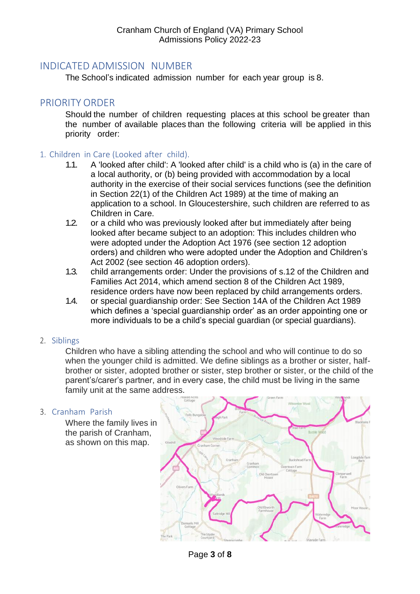# <span id="page-2-0"></span>INDICATED ADMISSION NUMBER

The School's indicated admission number for each year group is 8.

# <span id="page-2-1"></span>PRIORITY ORDER

Should the number of children requesting places at this school be greater than the number of available places than the following criteria will be applied in this priority order:

#### <span id="page-2-2"></span>1. Children in Care (Looked after child).

- 1.1. A 'looked after child': A 'looked after child' is a child who is (a) in the care of a local authority, or (b) being provided with accommodation by a local authority in the exercise of their social services functions (see the definition in Section 22(1) of the Children Act 1989) at the time of making an application to a school. In Gloucestershire, such children are referred to as Children in Care.
- 1.2. or a child who was previously looked after but immediately after being looked after became subject to an adoption: This includes children who were adopted under the Adoption Act 1976 (see section 12 adoption orders) and children who were adopted under the Adoption and Children's Act 2002 (see section 46 adoption orders).
- 1.3. child arrangements order: Under the provisions of s.12 of the Children and Families Act 2014, which amend section 8 of the Children Act 1989, residence orders have now been replaced by child arrangements orders.
- 1.4. or special guardianship order: See Section 14A of the Children Act 1989 which defines a 'special guardianship order' as an order appointing one or more individuals to be a child's special guardian (or special guardians).

#### <span id="page-2-3"></span>2. Siblings

Children who have a sibling attending the school and who will continue to do so when the younger child is admitted. We define siblings as a brother or sister, halfbrother or sister, adopted brother or sister, step brother or sister, or the child of the parent's/carer's partner, and in every case, the child must be living in the same family unit at the same address.

#### <span id="page-2-4"></span>3. Cranham Parish

Where the family lives in the parish of Cranham, as shown on this map.



Page **3** of **8**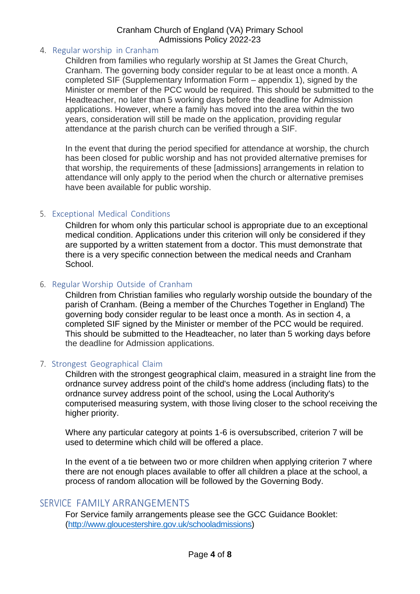#### Cranham Church of England (VA) Primary School Admissions Policy 2022-23

#### <span id="page-3-0"></span>4. Regular worship in Cranham

Children from families who regularly worship at St James the Great Church, Cranham. The governing body consider regular to be at least once a month. A completed SIF (Supplementary Information Form – appendix 1), signed by the Minister or member of the PCC would be required. This should be submitted to the Headteacher, no later than 5 working days before the deadline for Admission applications. However, where a family has moved into the area within the two years, consideration will still be made on the application, providing regular attendance at the parish church can be verified through a SIF.

In the event that during the period specified for attendance at worship, the church has been closed for public worship and has not provided alternative premises for that worship, the requirements of these [admissions] arrangements in relation to attendance will only apply to the period when the church or alternative premises have been available for public worship.

## <span id="page-3-1"></span>5. Exceptional Medical Conditions

Children for whom only this particular school is appropriate due to an exceptional medical condition. Applications under this criterion will only be considered if they are supported by a written statement from a doctor. This must demonstrate that there is a very specific connection between the medical needs and Cranham School.

#### <span id="page-3-2"></span>6. Regular Worship Outside of Cranham

Children from Christian families who regularly worship outside the boundary of the parish of Cranham. (Being a member of the Churches Together in England) The governing body consider regular to be least once a month. As in section 4, a completed SIF signed by the Minister or member of the PCC would be required. This should be submitted to the Headteacher, no later than 5 working days before the deadline for Admission applications.

## <span id="page-3-3"></span>7. Strongest Geographical Claim

Children with the strongest geographical claim, measured in a straight line from the ordnance survey address point of the child's home address (including flats) to the ordnance survey address point of the school, using the Local Authority's computerised measuring system, with those living closer to the school receiving the higher priority.

Where any particular category at points 1-6 is oversubscribed, criterion 7 will be used to determine which child will be offered a place.

In the event of a tie between two or more children when applying criterion 7 where there are not enough places available to offer all children a place at the school, a process of random allocation will be followed by the Governing Body.

# <span id="page-3-4"></span>SERVICE FAMILY ARRANGEMENTS

For Service family arrangements please see the GCC Guidance Booklet: [\(http://www.gloucestershire.gov.uk/schooladmissions\)](http://www.gloucestershire.gov.uk/schooladmissions)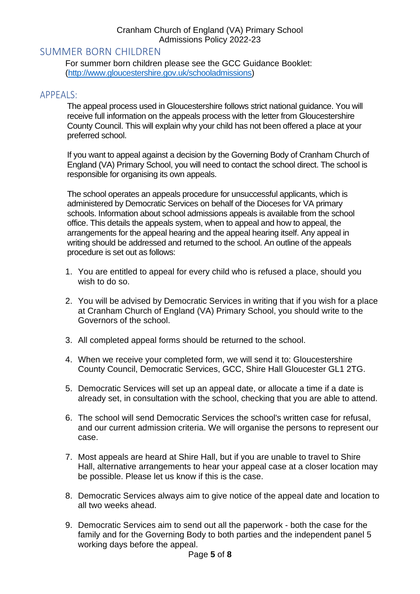### Cranham Church of England (VA) Primary School Admissions Policy 2022-23

# <span id="page-4-0"></span>SUMMER BORN CHILDREN

For summer born children please see the GCC Guidance Booklet: [\(http://www.gloucestershire.gov.uk/schooladmissions\)](http://www.gloucestershire.gov.uk/schooladmissions)

# <span id="page-4-1"></span>APPEALS:

The appeal process used in Gloucestershire follows strict national guidance. You will receive full information on the appeals process with the letter from Gloucestershire County Council. This will explain why your child has not been offered a place at your preferred school.

If you want to appeal against a decision by the Governing Body of Cranham Church of England (VA) Primary School, you will need to contact the school direct. The school is responsible for organising its own appeals.

The school operates an appeals procedure for unsuccessful applicants, which is administered by Democratic Services on behalf of the Dioceses for VA primary schools. Information about school admissions appeals is available from the school office. This details the appeals system, when to appeal and how to appeal, the arrangements for the appeal hearing and the appeal hearing itself. Any appeal in writing should be addressed and returned to the school. An outline of the appeals procedure is set out as follows:

- 1. You are entitled to appeal for every child who is refused a place, should you wish to do so.
- 2. You will be advised by Democratic Services in writing that if you wish for a place at Cranham Church of England (VA) Primary School, you should write to the Governors of the school.
- 3. All completed appeal forms should be returned to the school.
- 4. When we receive your completed form, we will send it to: Gloucestershire County Council, Democratic Services, GCC, Shire Hall Gloucester GL1 2TG.
- 5. Democratic Services will set up an appeal date, or allocate a time if a date is already set, in consultation with the school, checking that you are able to attend.
- 6. The school will send Democratic Services the school's written case for refusal, and our current admission criteria. We will organise the persons to represent our case.
- 7. Most appeals are heard at Shire Hall, but if you are unable to travel to Shire Hall, alternative arrangements to hear your appeal case at a closer location may be possible. Please let us know if this is the case.
- 8. Democratic Services always aim to give notice of the appeal date and location to all two weeks ahead.
- 9. Democratic Services aim to send out all the paperwork both the case for the family and for the Governing Body to both parties and the independent panel 5 working days before the appeal.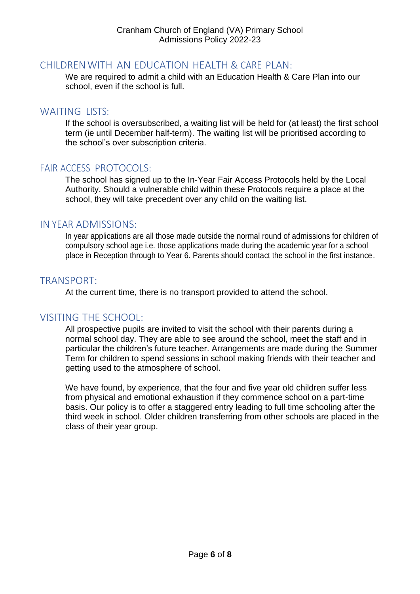# <span id="page-5-0"></span>CHILDRENWITH AN EDUCATION HEALTH & CARE PLAN:

We are required to admit a child with an Education Health & Care Plan into our school, even if the school is full.

# <span id="page-5-1"></span>WAITING LISTS:

If the school is oversubscribed, a waiting list will be held for (at least) the first school term (ie until December half-term). The waiting list will be prioritised according to the school's over subscription criteria.

# <span id="page-5-2"></span>FAIR ACCESS PROTOCOLS:

The school has signed up to the In-Year Fair Access Protocols held by the Local Authority. Should a vulnerable child within these Protocols require a place at the school, they will take precedent over any child on the waiting list.

# <span id="page-5-3"></span>IN YEAR ADMISSIONS:

In year applications are all those made outside the normal round of admissions for children of compulsory school age i.e. those applications made during the academic year for a school place in Reception through to Year 6. Parents should contact the school in the first instance.

# <span id="page-5-4"></span>TRANSPORT:

At the current time, there is no transport provided to attend the school.

# <span id="page-5-5"></span>VISITING THE SCHOOL:

All prospective pupils are invited to visit the school with their parents during a normal school day. They are able to see around the school, meet the staff and in particular the children's future teacher. Arrangements are made during the Summer Term for children to spend sessions in school making friends with their teacher and getting used to the atmosphere of school.

We have found, by experience, that the four and five year old children suffer less from physical and emotional exhaustion if they commence school on a part-time basis. Our policy is to offer a staggered entry leading to full time schooling after the third week in school. Older children transferring from other schools are placed in the class of their year group.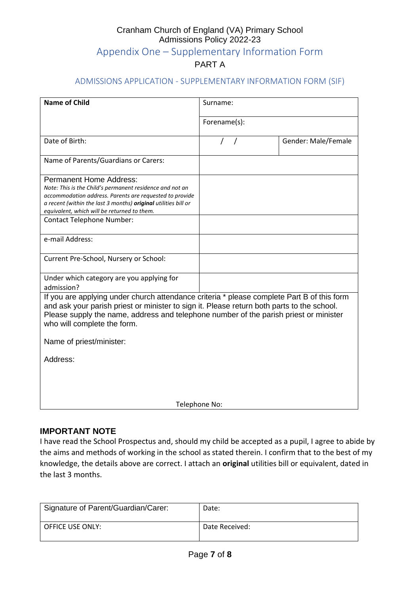# Cranham Church of England (VA) Primary School Admissions Policy 2022-23 Appendix One – Supplementary Information Form PART A

#### <span id="page-6-0"></span>ADMISSIONS APPLICATION - SUPPLEMENTARY INFORMATION FORM (SIF)

<span id="page-6-1"></span>

| <b>Name of Child</b>                                                                                                                                                                                                                                                                                             | Surname:     |                     |  |  |
|------------------------------------------------------------------------------------------------------------------------------------------------------------------------------------------------------------------------------------------------------------------------------------------------------------------|--------------|---------------------|--|--|
|                                                                                                                                                                                                                                                                                                                  | Forename(s): |                     |  |  |
| Date of Birth:                                                                                                                                                                                                                                                                                                   |              | Gender: Male/Female |  |  |
| Name of Parents/Guardians or Carers:                                                                                                                                                                                                                                                                             |              |                     |  |  |
| <b>Permanent Home Address:</b><br>Note: This is the Child's permanent residence and not an<br>accommodation address. Parents are requested to provide<br>a recent (within the last 3 months) original utilities bill or<br>equivalent, which will be returned to them.<br><b>Contact Telephone Number:</b>       |              |                     |  |  |
| e-mail Address:                                                                                                                                                                                                                                                                                                  |              |                     |  |  |
| Current Pre-School, Nursery or School:                                                                                                                                                                                                                                                                           |              |                     |  |  |
| Under which category are you applying for<br>admission?                                                                                                                                                                                                                                                          |              |                     |  |  |
| If you are applying under church attendance criteria * please complete Part B of this form<br>and ask your parish priest or minister to sign it. Please return both parts to the school.<br>Please supply the name, address and telephone number of the parish priest or minister<br>who will complete the form. |              |                     |  |  |
| Name of priest/minister:                                                                                                                                                                                                                                                                                         |              |                     |  |  |
| Address:                                                                                                                                                                                                                                                                                                         |              |                     |  |  |
| Telephone No:                                                                                                                                                                                                                                                                                                    |              |                     |  |  |

#### **IMPORTANT NOTE**

I have read the School Prospectus and, should my child be accepted as a pupil, I agree to abide by the aims and methods of working in the school as stated therein. I confirm that to the best of my knowledge, the details above are correct. I attach an **original** utilities bill or equivalent, dated in the last 3 months.

| Signature of Parent/Guardian/Carer: | Date:          |
|-------------------------------------|----------------|
| OFFICE USE ONLY:                    | Date Received: |